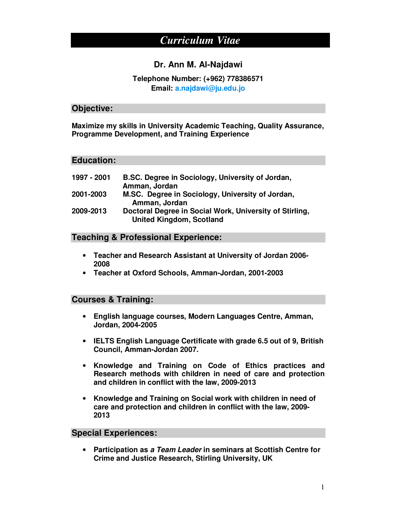# *Curriculum Vitae*

# **Dr. Ann M. Al-Najdawi**

# **Telephone Number: (+962) 778386571 Email: a.najdawi@ju.edu.jo**

# **Objective:**

**Maximize my skills in University Academic Teaching, Quality Assurance, Programme Development, and Training Experience** 

#### **Education:**

| 1997 - 2001 | B.SC. Degree in Sociology, University of Jordan,                                           |
|-------------|--------------------------------------------------------------------------------------------|
|             | Amman, Jordan                                                                              |
| 2001-2003   | M.SC. Degree in Sociology, University of Jordan,<br>Amman, Jordan                          |
| 2009-2013   | Doctoral Degree in Social Work, University of Stirling,<br><b>United Kingdom, Scotland</b> |

#### **Teaching & Professional Experience:**

- **Teacher and Research Assistant at University of Jordan 2006- 2008**
- **Teacher at Oxford Schools, Amman-Jordan, 2001-2003**

#### **Courses & Training:**

- **English language courses, Modern Languages Centre, Amman, Jordan, 2004-2005**
- **IELTS English Language Certificate with grade 6.5 out of 9, British Council, Amman-Jordan 2007.**
- **Knowledge and Training on Code of Ethics practices and Research methods with children in need of care and protection and children in conflict with the law, 2009-2013**
- **Knowledge and Training on Social work with children in need of care and protection and children in conflict with the law, 2009- 2013**

#### **Special Experiences:**

• **Participation as a Team Leader in seminars at Scottish Centre for Crime and Justice Research, Stirling University, UK**